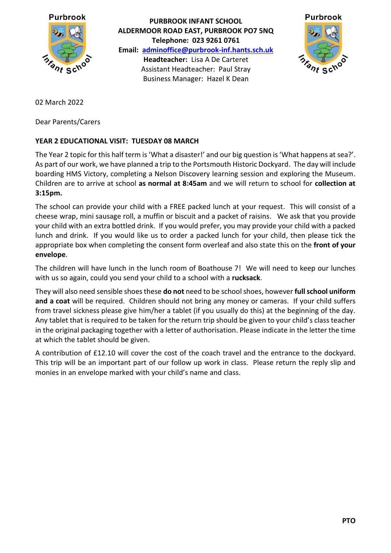

**PURBROOK INFANT SCHOOL ALDERMOOR ROAD EAST, PURBROOK PO7 5NQ Telephone: 023 9261 0761 Email: [adminoffice@purbrook-inf.hants.sch.uk](mailto:adminoffice@purbrook-inf.hants.sch.uk) Headteacher:** Lisa A De Carteret Assistant Headteacher: Paul Stray Business Manager: Hazel K Dean



02 March 2022

Dear Parents/Carers

## **YEAR 2 EDUCATIONAL VISIT: TUESDAY 08 MARCH**

The Year 2 topic for this half term is 'What a disaster!' and our big question is 'What happens at sea?'. As part of our work, we have planned a trip to the Portsmouth Historic Dockyard. The day will include boarding HMS Victory, completing a Nelson Discovery learning session and exploring the Museum. Children are to arrive at school **as normal at 8:45am** and we will return to school for **collection at 3:15pm.** 

The school can provide your child with a FREE packed lunch at your request. This will consist of a cheese wrap, mini sausage roll, a muffin or biscuit and a packet of raisins. We ask that you provide your child with an extra bottled drink. If you would prefer, you may provide your child with a packed lunch and drink. If you would like us to order a packed lunch for your child, then please tick the appropriate box when completing the consent form overleaf and also state this on the **front of your envelope**.

The children will have lunch in the lunch room of Boathouse 7! We will need to keep our lunches with us so again, could you send your child to a school with a **rucksack**.

They will also need sensible shoes these **do not** need to be school shoes, however **full school uniform and a coat** will be required. Children should not bring any money or cameras. If your child suffers from travel sickness please give him/her a tablet (if you usually do this) at the beginning of the day. Any tablet that is required to be taken for the return trip should be given to your child's class teacher in the original packaging together with a letter of authorisation. Please indicate in the letter the time at which the tablet should be given.

A contribution of £12.10 will cover the cost of the coach travel and the entrance to the dockyard. This trip will be an important part of our follow up work in class. Please return the reply slip and monies in an envelope marked with your child's name and class.